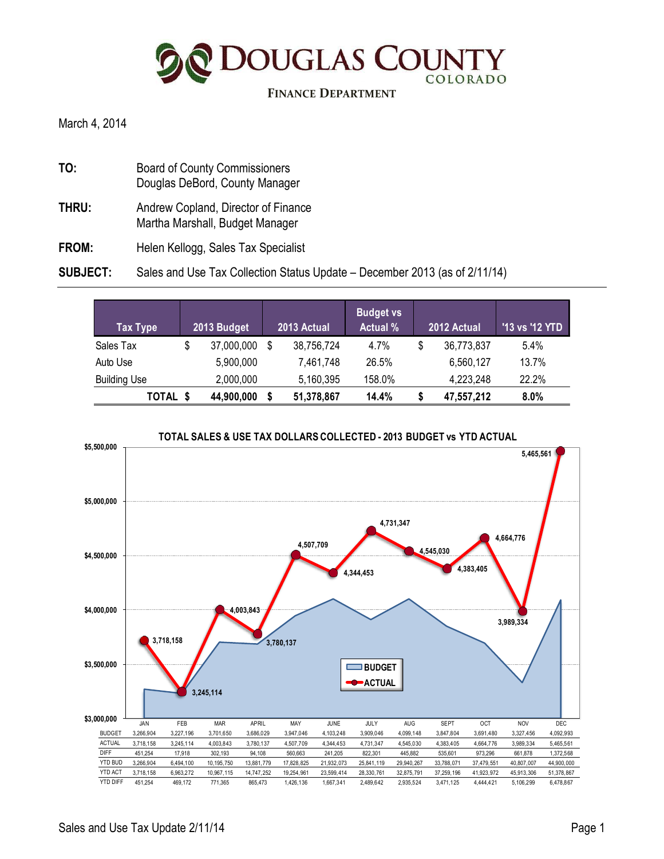**DOUGLAS COUNTY** COLORADO

#### **FINANCE DEPARTMENT**

March 4, 2014

- **TO:** Board of County Commissioners Douglas DeBord, County Manager **THRU:** Andrew Copland, Director of Finance
- Martha Marshall, Budget Manager
- FROM: Helen Kellogg, Sales Tax Specialist

#### **SUBJECT:** Sales and Use Tax Collection Status Update – December 2013 (as of 2/11/14)

| Tax Type            | 2013 Budget      | 2013 Actual | <b>Budget vs</b><br><b>Actual %</b> |    | 2012 Actual | '13 vs '12 YTD |
|---------------------|------------------|-------------|-------------------------------------|----|-------------|----------------|
| Sales Tax           | \$<br>37,000,000 | 38,756,724  | 4.7%                                | \$ | 36,773,837  | 5.4%           |
| Auto Use            | 5,900,000        | 7,461,748   | 26.5%                               |    | 6,560,127   | 13.7%          |
| <b>Building Use</b> | 2,000,000        | 5,160,395   | 158.0%                              |    | 4,223,248   | 22.2%          |
| TOTAL \$            | 44,900,000       | 51,378,867  | 14.4%                               | S  | 47,557,212  | $8.0\%$        |

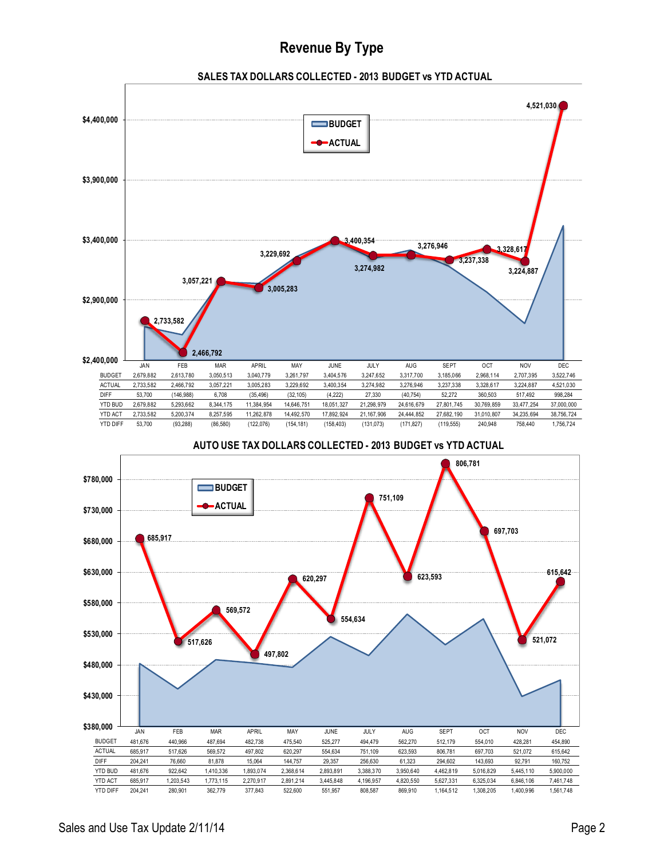## **Revenue By Type**







**AUTO USE TAX DOLLARS COLLECTED - 2013 BUDGET vs YTD ACTUAL**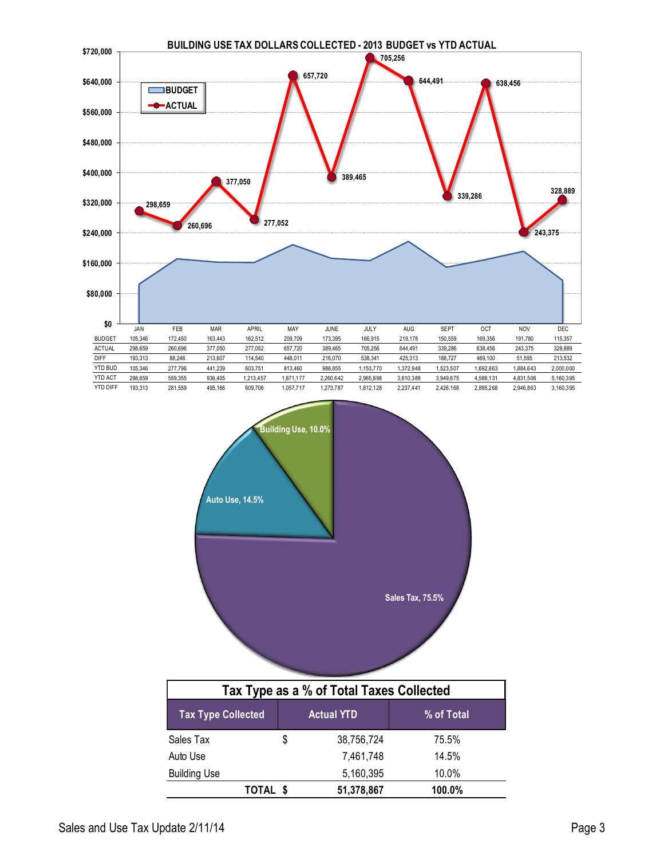



Auto Use 7,461,748 14.5% Building Use 6,160,395 10.0%

**TOTAL \$ 51,378,867 100.0%**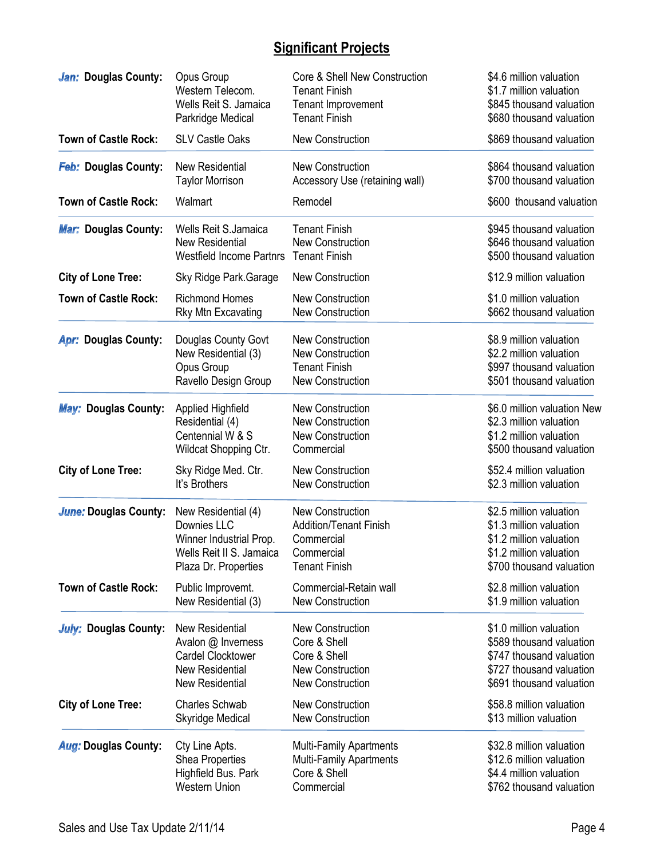# **Significant Projects**

| Jan: Douglas County:         | Opus Group                      | Core & Shell New Construction  | \$4.6 million valuation     |
|------------------------------|---------------------------------|--------------------------------|-----------------------------|
|                              | Western Telecom.                | <b>Tenant Finish</b>           | \$1.7 million valuation     |
|                              | Wells Reit S. Jamaica           | Tenant Improvement             | \$845 thousand valuation    |
|                              | Parkridge Medical               | <b>Tenant Finish</b>           | \$680 thousand valuation    |
| <b>Town of Castle Rock:</b>  | <b>SLV Castle Oaks</b>          | <b>New Construction</b>        | \$869 thousand valuation    |
| Feb: Douglas County:         | New Residential                 | New Construction               | \$864 thousand valuation    |
|                              | <b>Taylor Morrison</b>          | Accessory Use (retaining wall) | \$700 thousand valuation    |
| <b>Town of Castle Rock:</b>  | Walmart                         | Remodel                        | \$600 thousand valuation    |
| <b>Mar: Douglas County:</b>  | <b>Wells Reit S.Jamaica</b>     | <b>Tenant Finish</b>           | \$945 thousand valuation    |
|                              | <b>New Residential</b>          | <b>New Construction</b>        | \$646 thousand valuation    |
|                              | <b>Westfield Income Partnrs</b> | <b>Tenant Finish</b>           | \$500 thousand valuation    |
| <b>City of Lone Tree:</b>    | Sky Ridge Park.Garage           | <b>New Construction</b>        | \$12.9 million valuation    |
| <b>Town of Castle Rock:</b>  | <b>Richmond Homes</b>           | <b>New Construction</b>        | \$1.0 million valuation     |
|                              | <b>Rky Mtn Excavating</b>       | <b>New Construction</b>        | \$662 thousand valuation    |
| <b>Apr: Douglas County:</b>  | Douglas County Govt             | New Construction               | \$8.9 million valuation     |
|                              | New Residential (3)             | <b>New Construction</b>        | \$2.2 million valuation     |
|                              | Opus Group                      | <b>Tenant Finish</b>           | \$997 thousand valuation    |
|                              | Ravello Design Group            | <b>New Construction</b>        | \$501 thousand valuation    |
| <b>May: Douglas County:</b>  | <b>Applied Highfield</b>        | <b>New Construction</b>        | \$6.0 million valuation New |
|                              | Residential (4)                 | <b>New Construction</b>        | \$2.3 million valuation     |
|                              | Centennial W & S                | <b>New Construction</b>        | \$1.2 million valuation     |
|                              | Wildcat Shopping Ctr.           | Commercial                     | \$500 thousand valuation    |
| <b>City of Lone Tree:</b>    | Sky Ridge Med. Ctr.             | <b>New Construction</b>        | \$52.4 million valuation    |
|                              | It's Brothers                   | <b>New Construction</b>        | \$2.3 million valuation     |
| <b>June: Douglas County:</b> | New Residential (4)             | <b>New Construction</b>        | \$2.5 million valuation     |
|                              | Downies LLC                     | <b>Addition/Tenant Finish</b>  | \$1.3 million valuation     |
|                              | Winner Industrial Prop.         | Commercial                     | \$1.2 million valuation     |
|                              | Wells Reit II S. Jamaica        | Commercial                     | \$1.2 million valuation     |
|                              | Plaza Dr. Properties            | <b>Tenant Finish</b>           | \$700 thousand valuation    |
| <b>Town of Castle Rock:</b>  | Public Improvemt.               | Commercial-Retain wall         | \$2.8 million valuation     |
|                              | New Residential (3)             | <b>New Construction</b>        | \$1.9 million valuation     |
| <b>July: Douglas County:</b> | New Residential                 | <b>New Construction</b>        | \$1.0 million valuation     |
|                              | Avalon @ Inverness              | Core & Shell                   | \$589 thousand valuation    |
|                              | <b>Cardel Clocktower</b>        | Core & Shell                   | \$747 thousand valuation    |
|                              | <b>New Residential</b>          | <b>New Construction</b>        | \$727 thousand valuation    |
|                              | <b>New Residential</b>          | <b>New Construction</b>        | \$691 thousand valuation    |
| <b>City of Lone Tree:</b>    | <b>Charles Schwab</b>           | <b>New Construction</b>        | \$58.8 million valuation    |
|                              | Skyridge Medical                | <b>New Construction</b>        | \$13 million valuation      |
| <b>Aug: Douglas County:</b>  | Cty Line Apts.                  | Multi-Family Apartments        | \$32.8 million valuation    |
|                              | <b>Shea Properties</b>          | <b>Multi-Family Apartments</b> | \$12.6 million valuation    |
|                              | Highfield Bus. Park             | Core & Shell                   | \$4.4 million valuation     |
|                              | <b>Western Union</b>            | Commercial                     | \$762 thousand valuation    |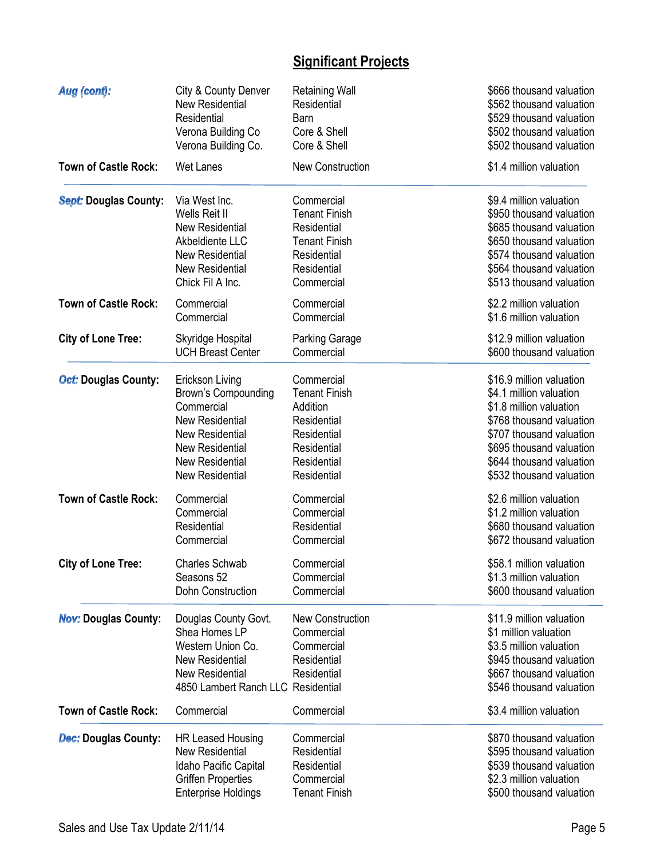# **Significant Projects**

| Aug (cont):                  | City & County Denver                                                                                                                                 | <b>Retaining Wall</b>                                                             | \$666 thousand valuation                                                                                                                                         |
|------------------------------|------------------------------------------------------------------------------------------------------------------------------------------------------|-----------------------------------------------------------------------------------|------------------------------------------------------------------------------------------------------------------------------------------------------------------|
|                              | <b>New Residential</b>                                                                                                                               | Residential                                                                       | \$562 thousand valuation                                                                                                                                         |
|                              | Residential                                                                                                                                          | Barn                                                                              | \$529 thousand valuation                                                                                                                                         |
|                              | Verona Building Co                                                                                                                                   | Core & Shell                                                                      | \$502 thousand valuation                                                                                                                                         |
|                              | Verona Building Co.                                                                                                                                  | Core & Shell                                                                      | \$502 thousand valuation                                                                                                                                         |
| <b>Town of Castle Rock:</b>  | <b>Wet Lanes</b>                                                                                                                                     | <b>New Construction</b>                                                           | \$1.4 million valuation                                                                                                                                          |
| <b>Sept: Douglas County:</b> | Via West Inc.                                                                                                                                        | Commercial                                                                        | \$9.4 million valuation                                                                                                                                          |
|                              | Wells Reit II                                                                                                                                        | <b>Tenant Finish</b>                                                              | \$950 thousand valuation                                                                                                                                         |
|                              | <b>New Residential</b>                                                                                                                               | Residential                                                                       | \$685 thousand valuation                                                                                                                                         |
|                              | Akbeldiente LLC                                                                                                                                      | <b>Tenant Finish</b>                                                              | \$650 thousand valuation                                                                                                                                         |
|                              | <b>New Residential</b>                                                                                                                               | Residential                                                                       | \$574 thousand valuation                                                                                                                                         |
|                              | <b>New Residential</b>                                                                                                                               | Residential                                                                       | \$564 thousand valuation                                                                                                                                         |
|                              | Chick Fil A Inc.                                                                                                                                     | Commercial                                                                        | \$513 thousand valuation                                                                                                                                         |
| <b>Town of Castle Rock:</b>  | Commercial                                                                                                                                           | Commercial                                                                        | \$2.2 million valuation                                                                                                                                          |
|                              | Commercial                                                                                                                                           | Commercial                                                                        | \$1.6 million valuation                                                                                                                                          |
| <b>City of Lone Tree:</b>    | Skyridge Hospital                                                                                                                                    | <b>Parking Garage</b>                                                             | \$12.9 million valuation                                                                                                                                         |
|                              | <b>UCH Breast Center</b>                                                                                                                             | Commercial                                                                        | \$600 thousand valuation                                                                                                                                         |
| <b>Oct: Douglas County:</b>  | Erickson Living                                                                                                                                      | Commercial                                                                        | \$16.9 million valuation                                                                                                                                         |
|                              | Brown's Compounding                                                                                                                                  | <b>Tenant Finish</b>                                                              | \$4.1 million valuation                                                                                                                                          |
|                              | Commercial                                                                                                                                           | Addition                                                                          | \$1.8 million valuation                                                                                                                                          |
|                              | <b>New Residential</b>                                                                                                                               | Residential                                                                       | \$768 thousand valuation                                                                                                                                         |
|                              | <b>New Residential</b>                                                                                                                               | Residential                                                                       | \$707 thousand valuation                                                                                                                                         |
|                              | <b>New Residential</b>                                                                                                                               | Residential                                                                       | \$695 thousand valuation                                                                                                                                         |
|                              | <b>New Residential</b>                                                                                                                               | Residential                                                                       | \$644 thousand valuation                                                                                                                                         |
|                              | <b>New Residential</b>                                                                                                                               | Residential                                                                       | \$532 thousand valuation                                                                                                                                         |
| <b>Town of Castle Rock:</b>  | Commercial                                                                                                                                           | Commercial                                                                        | \$2.6 million valuation                                                                                                                                          |
|                              | Commercial                                                                                                                                           | Commercial                                                                        | \$1.2 million valuation                                                                                                                                          |
|                              | Residential                                                                                                                                          | Residential                                                                       | \$680 thousand valuation                                                                                                                                         |
|                              | Commercial                                                                                                                                           | Commercial                                                                        | \$672 thousand valuation                                                                                                                                         |
| <b>City of Lone Tree:</b>    | <b>Charles Schwab</b>                                                                                                                                | Commercial                                                                        | \$58.1 million valuation                                                                                                                                         |
|                              | Seasons 52                                                                                                                                           | Commercial                                                                        | \$1.3 million valuation                                                                                                                                          |
|                              | <b>Dohn Construction</b>                                                                                                                             | Commercial                                                                        | \$600 thousand valuation                                                                                                                                         |
| <b>Nov: Douglas County:</b>  | Douglas County Govt.<br>Shea Homes LP<br>Western Union Co.<br><b>New Residential</b><br><b>New Residential</b><br>4850 Lambert Ranch LLC Residential | <b>New Construction</b><br>Commercial<br>Commercial<br>Residential<br>Residential | \$11.9 million valuation<br>\$1 million valuation<br>\$3.5 million valuation<br>\$945 thousand valuation<br>\$667 thousand valuation<br>\$546 thousand valuation |
| <b>Town of Castle Rock:</b>  | Commercial                                                                                                                                           | Commercial                                                                        | \$3.4 million valuation                                                                                                                                          |
| <b>Dec: Douglas County:</b>  | <b>HR Leased Housing</b>                                                                                                                             | Commercial                                                                        | \$870 thousand valuation                                                                                                                                         |
|                              | <b>New Residential</b>                                                                                                                               | Residential                                                                       | \$595 thousand valuation                                                                                                                                         |
|                              | Idaho Pacific Capital                                                                                                                                | Residential                                                                       | \$539 thousand valuation                                                                                                                                         |
|                              | <b>Griffen Properties</b>                                                                                                                            | Commercial                                                                        | \$2.3 million valuation                                                                                                                                          |
|                              | <b>Enterprise Holdings</b>                                                                                                                           | <b>Tenant Finish</b>                                                              | \$500 thousand valuation                                                                                                                                         |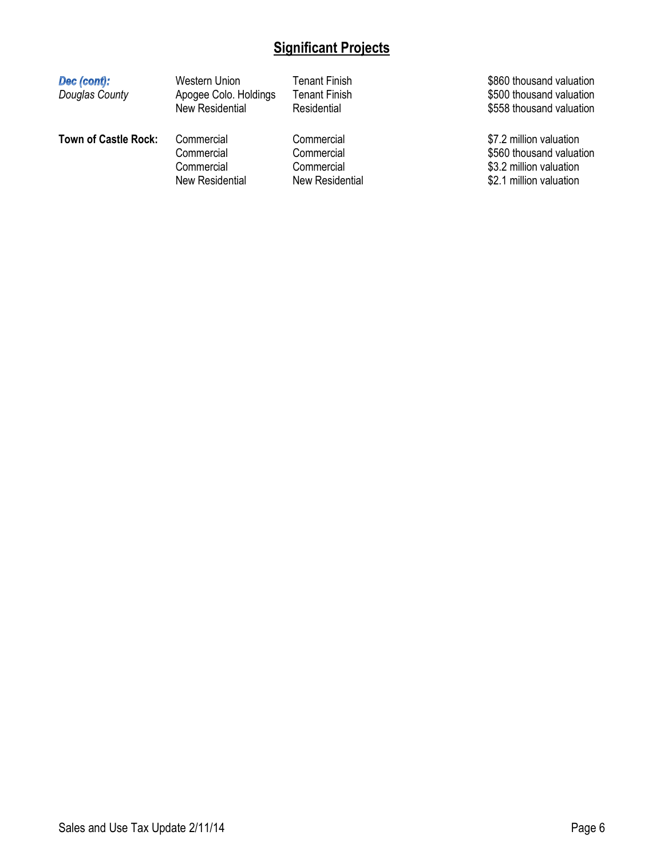# **Significant Projects**

| Dec (cont):<br>Douglas County | Western Union<br>Apogee Colo. Holdings<br><b>New Residential</b> | Tenant Finish<br><b>Tenant Finish</b><br>Residential | \$860 thousand valuation<br>\$500 thousand valuation<br>\$558 thousand valuation |
|-------------------------------|------------------------------------------------------------------|------------------------------------------------------|----------------------------------------------------------------------------------|
| <b>Town of Castle Rock:</b>   | Commercial<br>Commercial<br>Commercial                           | Commercial<br>Commercial<br>Commercial               | \$7.2 million valuation<br>\$560 thousand valuation<br>\$3.2 million valuation   |
|                               | <b>New Residential</b>                                           | New Residential                                      | \$2.1 million valuation                                                          |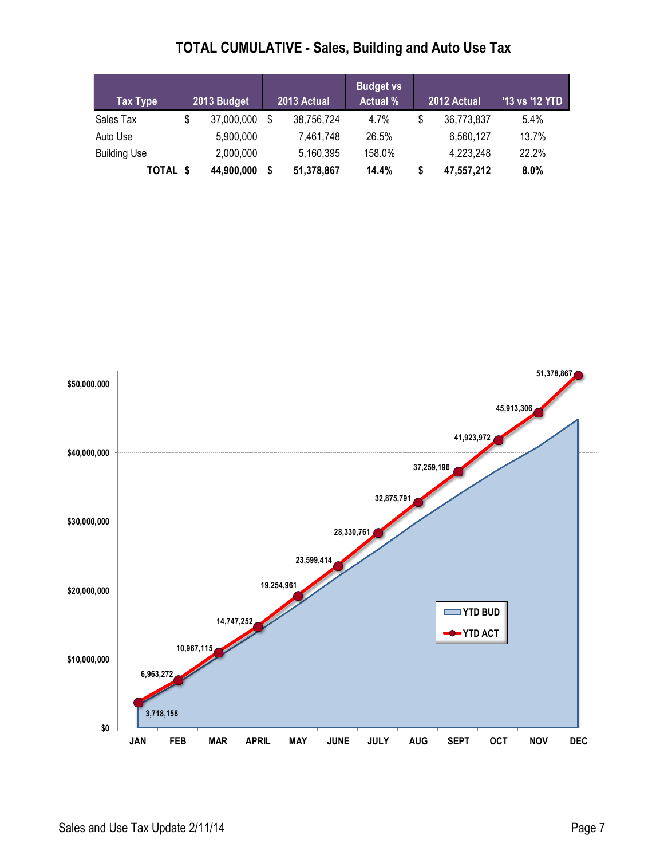| <b>TOTAL CUMULATIVE - Sales, Building and Auto Use Tax</b> |
|------------------------------------------------------------|
|                                                            |

| Tax Type            | 2013 Budget      |    | 2013 Actual | <b>Budget vs</b><br><b>Actual %</b> | 2012 Actual      | '13 vs '12 YTD |
|---------------------|------------------|----|-------------|-------------------------------------|------------------|----------------|
| Sales Tax           | \$<br>37,000,000 | -S | 38,756,724  | 4.7%                                | \$<br>36,773,837 | $5.4\%$        |
| Auto Use            | 5,900,000        |    | 7,461,748   | 26.5%                               | 6,560,127        | 13.7%          |
| <b>Building Use</b> | 2.000.000        |    | 5,160,395   | 158.0%                              | 4,223,248        | 22.2%          |
| TOTAL               | 44,900,000       |    | 51,378,867  | 14.4%                               | 47,557,212       | 8.0%           |

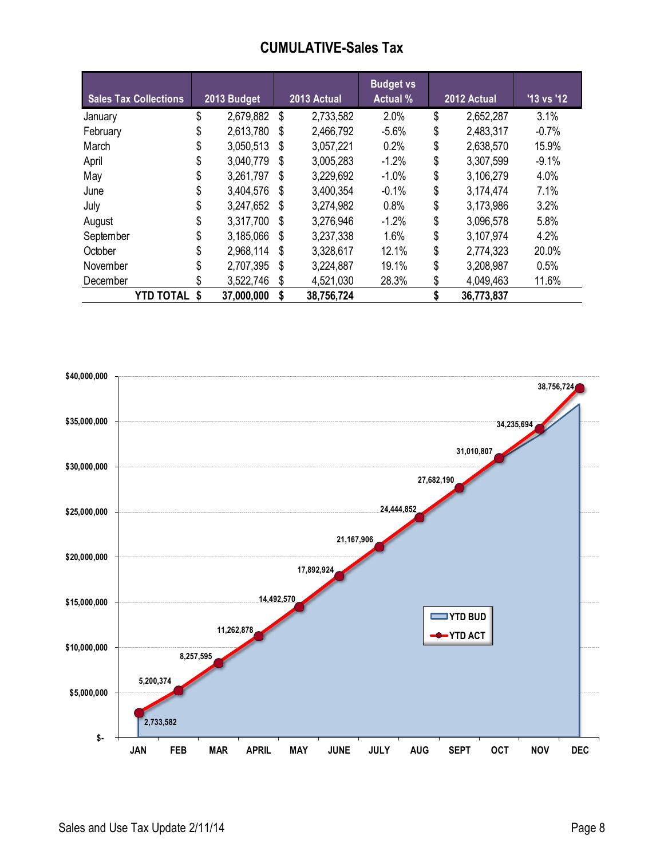## **CUMULATIVE-Sales Tax**

| <b>Sales Tax Collections</b> |    | 2013 Budget |    | 2013 Actual | <b>Budget vs</b><br><b>Actual %</b> | 2012 Actual      | '13 vs '12 |
|------------------------------|----|-------------|----|-------------|-------------------------------------|------------------|------------|
| January                      | \$ | 2,679,882   | \$ | 2,733,582   | 2.0%                                | \$<br>2,652,287  | 3.1%       |
| February                     | \$ | 2,613,780   | \$ | 2,466,792   | $-5.6%$                             | \$<br>2,483,317  | $-0.7%$    |
| March                        | S  | 3,050,513   | S  | 3,057,221   | 0.2%                                | \$<br>2,638,570  | 15.9%      |
| April                        |    | 3,040,779   | \$ | 3,005,283   | $-1.2%$                             | \$<br>3,307,599  | $-9.1%$    |
| May                          | S  | 3,261,797   | S  | 3,229,692   | $-1.0%$                             | \$<br>3,106,279  | 4.0%       |
| June                         |    | 3,404,576   | S  | 3,400,354   | $-0.1%$                             | \$<br>3,174,474  | 7.1%       |
| July                         | S  | 3,247,652   | S  | 3,274,982   | 0.8%                                | \$<br>3,173,986  | 3.2%       |
| August                       |    | 3,317,700   | S  | 3,276,946   | $-1.2%$                             | \$<br>3,096,578  | 5.8%       |
| September                    |    | 3,185,066   | S  | 3,237,338   | 1.6%                                | \$<br>3,107,974  | 4.2%       |
| October                      | S  | 2,968,114   | \$ | 3,328,617   | 12.1%                               | \$<br>2,774,323  | 20.0%      |
| November                     |    | 2,707,395   | S  | 3,224,887   | 19.1%                               | \$<br>3,208,987  | 0.5%       |
| December                     |    | 3,522,746   | \$ | 4,521,030   | 28.3%                               | \$<br>4,049,463  | 11.6%      |
| <b>YTD TOTAL \$</b>          |    | 37,000,000  | S  | 38,756,724  |                                     | \$<br>36,773,837 |            |

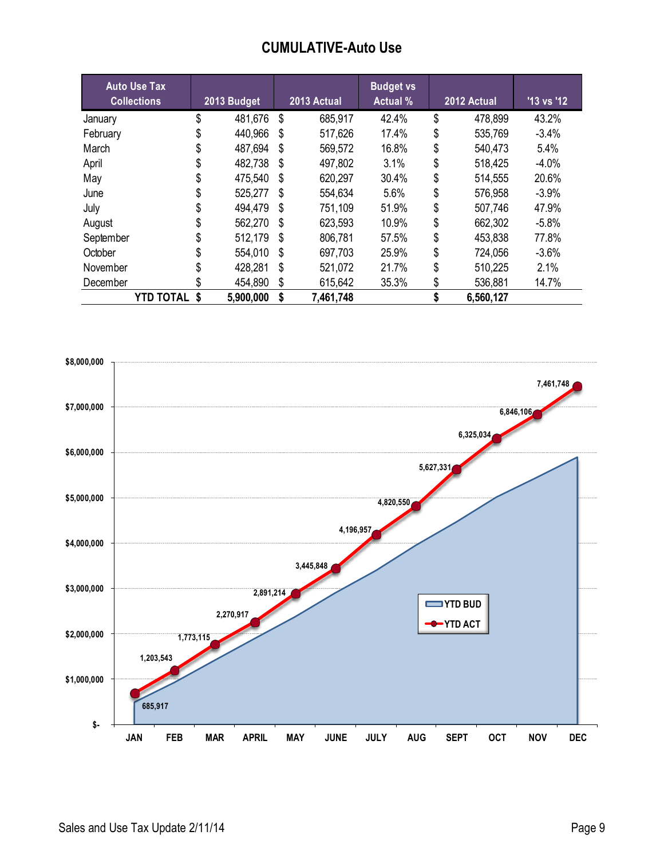## **CUMULATIVE-Auto Use**

| <b>Auto Use Tax</b> |    |             |    | 2013 Actual | <b>Budget vs</b><br><b>Actual</b> % | 2012 Actual     | '13 vs '12 |
|---------------------|----|-------------|----|-------------|-------------------------------------|-----------------|------------|
| <b>Collections</b>  |    | 2013 Budget |    |             |                                     |                 |            |
| January             | \$ | 481,676     | \$ | 685,917     | 42.4%                               | \$<br>478,899   | 43.2%      |
| February            | S  | 440,966     | \$ | 517,626     | 17.4%                               | \$<br>535,769   | $-3.4%$    |
| March               |    | 487,694     | \$ | 569,572     | 16.8%                               | \$<br>540,473   | 5.4%       |
| April               |    | 482,738     | \$ | 497,802     | 3.1%                                | \$<br>518,425   | $-4.0%$    |
| May                 |    | 475,540     | \$ | 620,297     | 30.4%                               | \$<br>514,555   | 20.6%      |
| June                | S  | 525,277     | S  | 554,634     | $5.6\%$                             | \$<br>576,958   | $-3.9%$    |
| July                |    | 494,479     | \$ | 751,109     | 51.9%                               | \$<br>507,746   | 47.9%      |
| August              |    | 562,270     | \$ | 623,593     | 10.9%                               | \$<br>662,302   | $-5.8%$    |
| September           |    | 512,179     | \$ | 806,781     | 57.5%                               | \$<br>453,838   | 77.8%      |
| October             | S  | 554,010     | S  | 697,703     | 25.9%                               | \$<br>724,056   | $-3.6%$    |
| November            |    | 428,281     | S  | 521,072     | 21.7%                               | \$<br>510,225   | 2.1%       |
| December            |    | 454,890     | \$ | 615,642     | 35.3%                               | \$<br>536,881   | 14.7%      |
| <b>YTD TOTAL \$</b> |    | 5,900,000   | \$ | 7,461,748   |                                     | \$<br>6,560,127 |            |

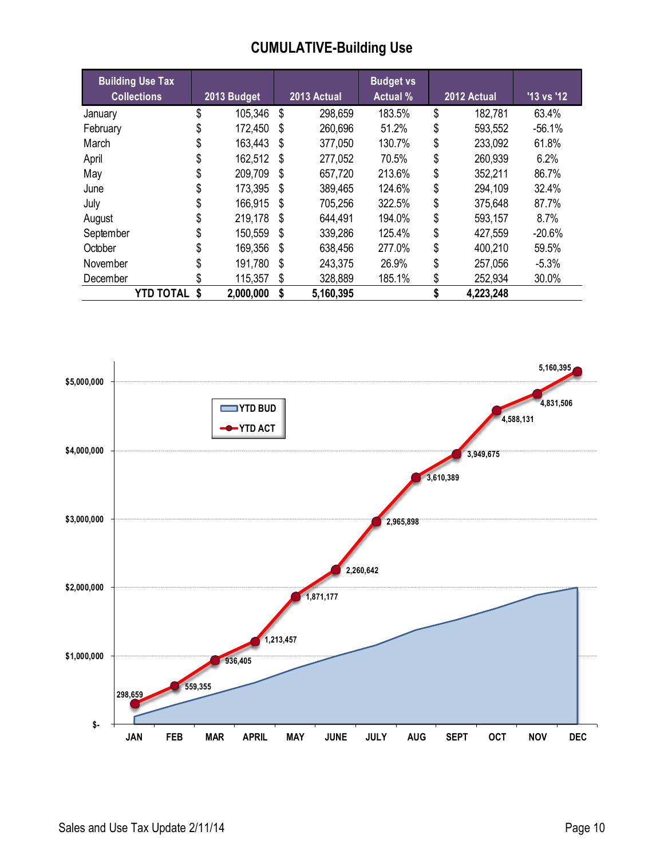# **CUMULATIVE-Building Use**

| <b>Building Use Tax</b><br><b>Collections</b> |    | 2013 Budget |      | 2013 Actual | <b>Budget vs</b><br><b>Actual %</b> | 2012 Actual   | $'13$ vs $'12$ |
|-----------------------------------------------|----|-------------|------|-------------|-------------------------------------|---------------|----------------|
| January                                       | \$ | 105,346     | \$   | 298,659     | 183.5%                              | \$<br>182,781 | 63.4%          |
| February                                      |    | 172,450     | S    | 260,696     | 51.2%                               | \$<br>593,552 | $-56.1%$       |
| March                                         |    | 163,443     | - \$ | 377,050     | 130.7%                              | \$<br>233,092 | 61.8%          |
| April                                         |    | 162,512     | - \$ | 277,052     | 70.5%                               | \$<br>260,939 | 6.2%           |
| May                                           |    | 209,709     | \$   | 657,720     | 213.6%                              | \$<br>352,211 | 86.7%          |
| June                                          |    | 173,395     | S    | 389,465     | 124.6%                              | \$<br>294,109 | 32.4%          |
| July                                          | S  | 166,915     | S    | 705,256     | 322.5%                              | \$<br>375,648 | 87.7%          |
| August                                        |    | 219,178     | - \$ | 644,491     | 194.0%                              | \$<br>593,157 | 8.7%           |
| September                                     |    | 150,559     | S    | 339,286     | 125.4%                              | \$<br>427,559 | $-20.6%$       |
| October                                       |    | 169,356     | S    | 638,456     | 277.0%                              | \$<br>400,210 | 59.5%          |
| November                                      |    | 191,780     | S    | 243,375     | 26.9%                               | \$<br>257,056 | $-5.3%$        |
| December                                      |    | 115,357     | S    | 328,889     | 185.1%                              | \$<br>252,934 | 30.0%          |
| <b>YTD TOTAL</b>                              | S  | 2,000,000   | S    | 5,160,395   |                                     | 4,223,248     |                |

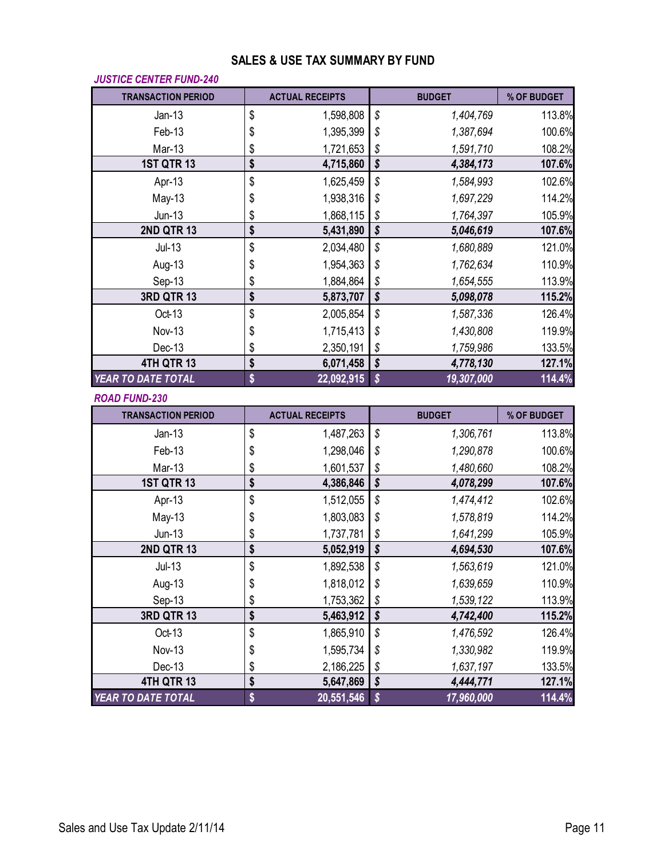### **SALES & USE TAX SUMMARY BY FUND**

| <b>JUSTICE CENTER FUND-240</b> |          |                        |                                       |                        |                  |
|--------------------------------|----------|------------------------|---------------------------------------|------------------------|------------------|
| <b>TRANSACTION PERIOD</b>      |          | <b>ACTUAL RECEIPTS</b> |                                       | <b>BUDGET</b>          | % OF BUDGET      |
| $Jan-13$                       | \$       | 1,598,808              | \$                                    | 1,404,769              | 113.8%           |
| Feb-13                         | \$       | 1,395,399              | \$                                    | 1,387,694              | 100.6%           |
| Mar-13                         | \$       | 1,721,653              | \$                                    | 1,591,710              | 108.2%           |
| <b>1ST QTR 13</b>              | \$       | 4,715,860              | $\overline{\boldsymbol{\mathcal{S}}}$ | 4,384,173              | 107.6%           |
| Apr-13                         | \$       | 1,625,459              | \$                                    | 1,584,993              | 102.6%           |
| May-13                         | \$       | 1,938,316              | \$                                    | 1,697,229              | 114.2%           |
| $Jun-13$                       | \$       | 1,868,115              | \$                                    | 1,764,397              | 105.9%           |
| <b>2ND QTR 13</b>              | \$       | 5,431,890              | $\overline{\boldsymbol{\mathcal{S}}}$ | 5,046,619              | 107.6%           |
| $Jul-13$                       | \$       | 2,034,480              | \$                                    | 1,680,889              | 121.0%           |
| Aug-13                         | \$       | 1,954,363              | \$                                    | 1,762,634              | 110.9%           |
| Sep-13                         | \$       | 1,884,864              | \$                                    | 1,654,555              | 113.9%           |
| <b>3RD QTR 13</b>              | \$       | 5,873,707              | \$                                    | 5,098,078              | 115.2%           |
| Oct-13                         | \$       | 2,005,854              | \$                                    | 1,587,336              | 126.4%           |
| <b>Nov-13</b>                  | \$       | 1,715,413              | \$                                    | 1,430,808              | 119.9%           |
| Dec-13                         | \$       | 2,350,191              | \$                                    | 1,759,986              | 133.5%           |
| 4TH QTR 13                     | \$       | 6,071,458              | \$                                    | 4,778,130              | 127.1%           |
| YEAR TO DATE TOTAL             | \$       | 22,092,915             | \$                                    | 19,307,000             | 114.4%           |
|                                |          |                        |                                       |                        |                  |
| <b>ROAD FUND-230</b>           |          |                        |                                       |                        |                  |
| <b>TRANSACTION PERIOD</b>      |          | <b>ACTUAL RECEIPTS</b> |                                       | <b>BUDGET</b>          | % OF BUDGET      |
| $Jan-13$                       | \$       | 1,487,263              | \$                                    | 1,306,761              | 113.8%           |
| Feb-13                         | \$       | 1,298,046              | \$                                    | 1,290,878              | 100.6%           |
| Mar-13                         | \$       | 1,601,537              | \$                                    | 1,480,660              | 108.2%           |
| <b>1ST QTR 13</b>              | \$       | 4,386,846              | $\sqrt{\frac{2}{3}}$                  | 4,078,299              | 107.6%           |
| Apr-13                         | \$       | 1,512,055              | \$                                    | 1,474,412              | 102.6%           |
| May-13                         | \$       | 1,803,083              | \$                                    | 1,578,819              | 114.2%           |
| $Jun-13$                       | \$       | 1,737,781              | \$                                    | 1,641,299              | 105.9%           |
| <b>2ND QTR 13</b>              | \$       | 5,052,919              | $\overline{\boldsymbol{\mathcal{S}}}$ | 4,694,530              | 107.6%           |
| $Jul-13$                       | \$       | 1,892,538              | \$                                    | 1,563,619              | 121.0%           |
| Aug-13                         |          | 1,818,012              |                                       | 1,639,659              | 110.9%           |
|                                | \$       |                        | \$                                    |                        |                  |
| Sep-13<br><b>3RD QTR 13</b>    | \$<br>\$ | 1,753,362<br>5,463,912 | \$<br>\$                              | 1,539,122<br>4,742,400 | 113.9%<br>115.2% |
| Oct-13                         |          | 1,865,910              |                                       | 1,476,592              | 126.4%           |
| <b>Nov-13</b>                  | \$       | 1,595,734              | \$                                    | 1,330,982              | 119.9%           |
| Dec-13                         | \$       |                        | \$                                    | 1,637,197              |                  |
| 4TH QTR 13                     | \$<br>\$ | 2,186,225<br>5,647,869 | \$<br>\$                              | 4,444,771              | 133.5%<br>127.1% |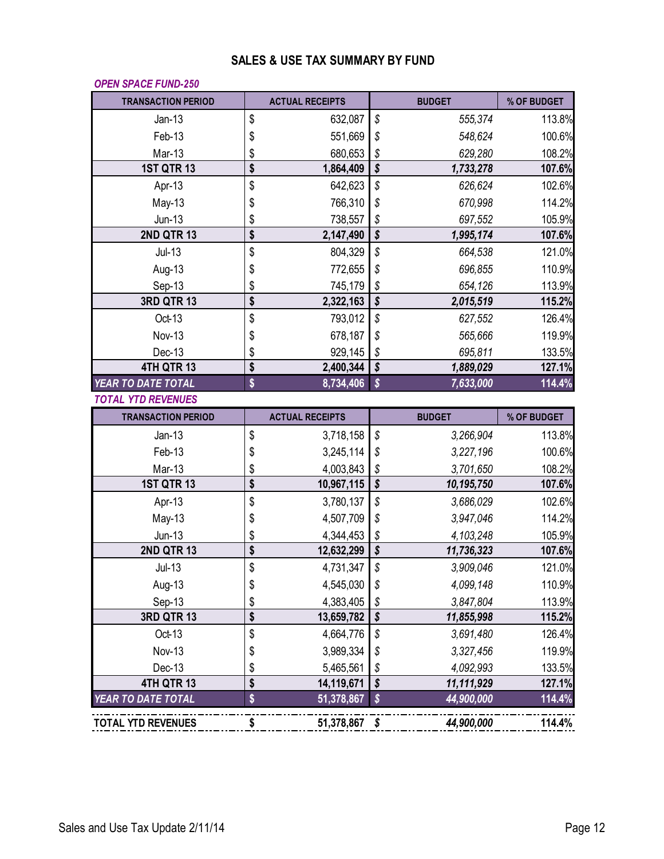### **SALES & USE TAX SUMMARY BY FUND**

#### *OPEN SPACE FUND-250*

| <b>TRANSACTION PERIOD</b> | <b>ACTUAL RECEIPTS</b> |                                       | <b>BUDGET</b> | % OF BUDGET |
|---------------------------|------------------------|---------------------------------------|---------------|-------------|
| $Jan-13$                  | \$<br>632,087          | \$                                    | 555,374       | 113.8%      |
| Feb-13                    | \$<br>551,669          | \$                                    | 548,624       | 100.6%      |
| Mar-13                    | \$<br>680,653          | \$                                    | 629,280       | 108.2%      |
| <b>1ST QTR 13</b>         | \$<br>1,864,409        | $\overline{\boldsymbol{\mathcal{S}}}$ | 1,733,278     | 107.6%      |
| Apr-13                    | \$<br>642,623          | \$                                    | 626,624       | 102.6%      |
| $May-13$                  | \$<br>766,310          | \$                                    | 670.998       | 114.2%      |
| $Jun-13$                  | \$<br>738,557          | $\frac{1}{2}$                         | 697,552       | 105.9%      |
| <b>2ND QTR 13</b>         | \$<br>2,147,490        | $\overline{\boldsymbol{\mathsf{S}}}$  | 1,995,174     | 107.6%      |
| $Jul-13$                  | \$<br>804,329          | \$                                    | 664,538       | 121.0%      |
| Aug-13                    | \$<br>772,655          | \$                                    | 696,855       | 110.9%      |
| Sep-13                    | \$<br>745,179          | $\boldsymbol{\mathcal{S}}$            | 654,126       | 113.9%      |
| <b>3RD QTR 13</b>         | \$<br>2,322,163        | $\overline{\boldsymbol{\mathcal{S}}}$ | 2,015,519     | 115.2%      |
| Oct-13                    | \$<br>793,012          | \$                                    | 627,552       | 126.4%      |
| Nov-13                    | \$<br>678,187          | \$                                    | 565,666       | 119.9%      |
| Dec-13                    | \$<br>929,145          | \$                                    | 695,811       | 133.5%      |
| 4TH QTR 13                | \$<br>2,400,344        | \$                                    | 1,889,029     | 127.1%      |
| YEAR TO DATE TOTAL        | \$<br>8,734,406        | $\boldsymbol{\hat{\mathsf{S}}}$       | 7,633,000     | 114.4%      |
| <b>TOTAL YTD REVENUES</b> |                        |                                       |               |             |
| <b>TRANSACTION PERIOD</b> | <b>ACTUAL RECEIPTS</b> |                                       | <b>BUDGET</b> | % OF BUDGET |
| $Jan-13$                  | \$<br>3,718,158        | \$                                    | 3,266,904     | 113.8%      |
| Feb-13                    | \$<br>3,245,114        | \$                                    | 3,227,196     | 100.6%      |
| Mar-13                    | \$<br>4,003,843        | \$                                    | 3,701,650     | 108.2%      |
| <b>1ST QTR 13</b>         | \$<br>10,967,115       | \$                                    | 10,195,750    | 107.6%      |
| Apr-13                    | \$<br>3,780,137        | \$                                    | 3,686,029     | 102.6%      |
| $May-13$                  | \$<br>4,507,709        | \$                                    | 3,947,046     | 114.2%      |
| $Jun-13$                  | \$<br>4,344,453        | $\boldsymbol{\mathcal{S}}$            | 4,103,248     | 105.9%      |
| <b>2ND QTR 13</b>         | \$<br>12,632,299       | $\overline{\boldsymbol{\mathcal{S}}}$ | 11,736,323    | 107.6%      |
| $Jul-13$                  | \$<br>4,731,347        | \$                                    | 3,909,046     | 121.0%      |
| Aug-13                    | \$<br>4,545,030        | \$                                    | 4,099,148     | 110.9%      |
| Sep-13                    | \$<br>4,383,405        | \$                                    | 3,847,804     | 113.9%      |
| <b>3RD QTR 13</b>         | \$<br>13,659,782       | \$                                    | 11,855,998    | 115.2%      |
| Oct-13                    | \$<br>4,664,776        | \$                                    | 3,691,480     | 126.4%      |
| Nov-13                    | \$<br>3,989,334        | \$                                    | 3,327,456     | 119.9%      |
| Dec-13                    | \$<br>5,465,561        | \$                                    | 4,092,993     | 133.5%      |
| 4TH QTR 13                | \$<br>14,119,671       | \$                                    | 11,111,929    | 127.1%      |
| <b>YEAR TO DATE TOTAL</b> | \$<br>51,378,867       | \$                                    | 44,900,000    | 114.4%      |
| <b>TOTAL YTD REVENUES</b> | \$<br>51,378,867 \$    |                                       | 44,900,000    | 114.4%      |